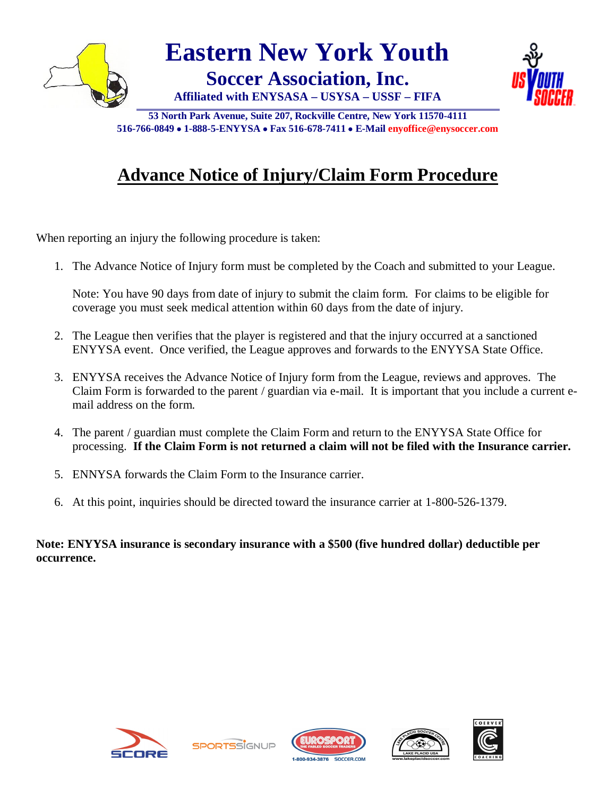

**53 North Park Avenue, Suite 207, Rockville Centre, New York 11570-4111 516-766-0849 1-888-5-ENYYSA Fax 516-678-7411 E-Mail enyoffice@enysoccer.com**

## **Advance Notice of Injury/Claim Form Procedure**

When reporting an injury the following procedure is taken:

1. The Advance Notice of Injury form must be completed by the Coach and submitted to your League.

Note: You have 90 days from date of injury to submit the claim form. For claims to be eligible for coverage you must seek medical attention within 60 days from the date of injury.

- 2. The League then verifies that the player is registered and that the injury occurred at a sanctioned ENYYSA event. Once verified, the League approves and forwards to the ENYYSA State Office.
- 3. ENYYSA receives the Advance Notice of Injury form from the League, reviews and approves. The Claim Form is forwarded to the parent / guardian via e-mail. It is important that you include a current email address on the form.
- 4. The parent / guardian must complete the Claim Form and return to the ENYYSA State Office for processing. **If the Claim Form is not returned a claim will not be filed with the Insurance carrier.**
- 5. ENNYSA forwards the Claim Form to the Insurance carrier.
- 6. At this point, inquiries should be directed toward the insurance carrier at 1-800-526-1379.

**Note: ENYYSA insurance is secondary insurance with a \$500 (five hundred dollar) deductible per occurrence.**